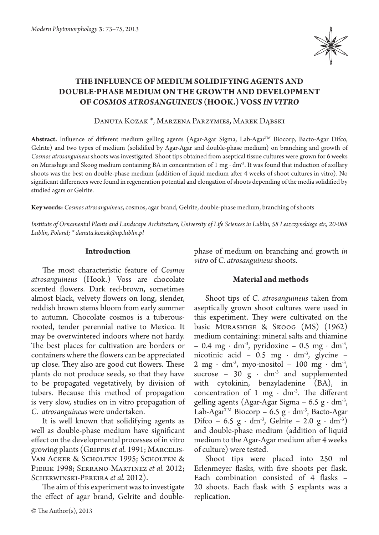

# **The influence of medium solidifying agents and double‑phase medium on the growth and development of** *Cosmos atrosanguineus* **(Hook.) Voss** *in vitro*

Danuta Kozak \*, Marzena Parzymies, Marek Dąbski

**Abstract.** Influence of different medium gelling agents (Agar-Agar Sigma, Lab-AgarTM Biocorp, Bacto-Agar Difco, Gelrite) and two types of medium (solidified by Agar-Agar and double-phase medium) on branching and growth of *Cosmos atrosanguineus* shoots was investigated. Shoot tips obtained from aseptical tissue cultures were grown for 6 weeks on Murashige and Skoog medium containing BA in concentration of 1 mg ∙ dm-3. It was found that induction of axillary shoots was the best on double-phase medium (addition of liquid medium after 4 weeks of shoot cultures in vitro). No significant differences were found in regeneration potential and elongation of shoots depending of the media solidified by studied agars or Gelrite.

**Key words:** *Cosmos atrosanguineus*, cosmos, agar brand, Gelrite, double-phase medium, branching of shoots

*Institute of Ornamental Plants and Landscape Architecture, University of Life Sciences in Lublin, 58 Leszczynskiego str., 20-068 Lublin, Poland; \* danuta.kozak@up.lublin.pl*

# **Introduction**

The most characteristic feature of *Cosmos atrosanguineus* (Hook.) Voss are chocolate scented flowers. Dark red-brown, sometimes almost black, velvety flowers on long, slender, reddish brown stems bloom from early summer to autumn. Chocolate cosmos is a tuberousrooted, tender perennial native to Mexico. It may be overwintered indoors where not hardy. The best places for cultivation are borders or containers where the flowers can be appreciated up close. They also are good cut flowers. These plants do not produce seeds, so that they have to be propagated vegetatively, by division of tubers. Because this method of propagation is very slow, studies on in vitro propagation of *C. atrosanguineus* were undertaken.

It is well known that solidifying agents as well as double-phase medium have significant effect on the developmental processes of in vitro growing plants (GRIFFIS *et al.* 1991; MARCELIS-Van Acker & Scholten 1995; Scholten & Pierik 1998; Serrano-Martinez *et al.* 2012; Scherwinski-Pereira *et al.* 2012).

The aim of this experiment was to investigate the effect of agar brand, Gelrite and doublephase of medium on branching and growth *in vitro* of *C. atrosanguineus* shoots.

# **Material and methods**

Shoot tips of *C. atrosanguineus* taken from aseptically grown shoot cultures were used in this experiment. They were cultivated on the basic Murashige & Skoog (MS) (1962) medium containing: mineral salts and thiamine – 0.4 mg · dm<sup>-3</sup>, pyridoxine – 0.5 mg · dm<sup>-3</sup>, nicotinic acid – 0.5 mg  $\cdot$  dm<sup>-3</sup>, glycine – 2 mg  $\cdot$  dm<sup>-3</sup>, myo-inositol – 100 mg  $\cdot$  dm<sup>-3</sup>, sucrose – 30  $g \cdot dm^{-3}$  and supplemented with cytokinin, benzyladenine (BA), in concentration of 1 mg  $\cdot$  dm<sup>-3</sup>. The different gelling agents (Agar-Agar Sigma –  $6.5 \text{ g} \cdot \text{dm}^3$ , Lab-Agar™ Biocorp – 6.5 g · dm<sup>-3</sup>, Bacto-Agar Difco – 6.5 g ⋅ dm<sup>-3</sup>, Gelrite – 2.0 g ⋅ dm<sup>-3</sup>) and double-phase medium (addition of liquid medium to the Agar-Agar medium after 4 weeks of culture) were tested.

Shoot tips were placed into 250 ml Erlenmeyer flasks, with five shoots per flask. Each combination consisted of 4 flasks – 20 shoots. Each flask with 5 explants was a replication.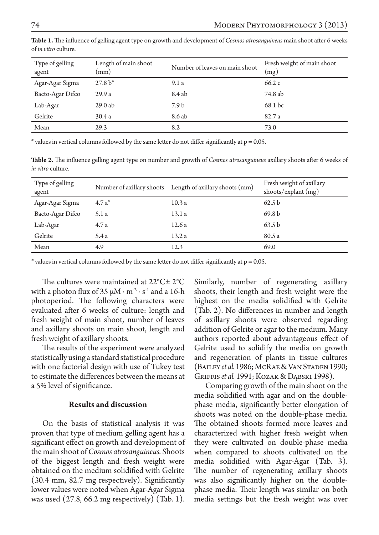| Type of gelling<br>agent | Length of main shoot<br>$\pmod{m}$ | Number of leaves on main shoot | Fresh weight of main shoot<br>(mg) |
|--------------------------|------------------------------------|--------------------------------|------------------------------------|
| Agar-Agar Sigma          | $27.8 h*$                          | 9.1a                           | 66.2c                              |
| Bacto-Agar Difco         | 29.9a                              | 8.4 ab                         | 74.8 ab                            |
| Lab-Agar                 | 29.0ab                             | 7.9 <sub>b</sub>               | 68.1 bc                            |
| Gelrite                  | 30.4a                              | 8.6 ab                         | 82.7a                              |
| Mean                     | 29.3                               | 8.2                            | 73.0                               |

**Table 1.** The influence of gelling agent type on growth and development of *Cosmos atrosanguineus* main shoot after 6 weeks of *in vitro* culture.

 $*$  values in vertical columns followed by the same letter do not differ significantly at  $p = 0.05$ .

**Table 2.** The influence gelling agent type on number and growth of *Cosmos atrosanguineus* axillary shoots after 6 weeks of *in vitro* culture.

| Type of gelling<br>agent |         | Number of axillary shoots Length of axillary shoots (mm) | Fresh weight of axillary<br>shoots/explant $(mg)$ |
|--------------------------|---------|----------------------------------------------------------|---------------------------------------------------|
| Agar-Agar Sigma          | $4.7a*$ | 10.3a                                                    | 62.5 <sub>b</sub>                                 |
| Bacto-Agar Difco         | 5.1 a   | 13.1a                                                    | 69.8 <sub>b</sub>                                 |
| Lab-Agar                 | 4.7a    | 12.6a                                                    | 63.5 b                                            |
| Gelrite                  | 5.4a    | 13.2a                                                    | 80.5 a                                            |
| Mean                     | 4.9     | 12.3                                                     | 69.0                                              |

\* values in vertical columns followed by the same letter do not differ significantly at p = 0.05.

The cultures were maintained at 22°C± 2°C with a photon flux of 35  $\mu$ M ⋅ m<sup>-2</sup> ⋅ s<sup>-1</sup> and a 16-h photoperiod. The following characters were evaluated after 6 weeks of culture: length and fresh weight of main shoot, number of leaves and axillary shoots on main shoot, length and fresh weight of axillary shoots.

The results of the experiment were analyzed statistically using a standard statistical procedure with one factorial design with use of Tukey test to estimate the differences between the means at a 5% level of significance.

#### **Results and discussion**

On the basis of statistical analysis it was proven that type of medium gelling agent has a significant effect on growth and development of the main shoot of *Cosmos atrosanguineus.* Shoots of the biggest length and fresh weight were obtained on the medium solidified with Gelrite (30.4 mm, 82.7 mg respectively). Significantly lower values were noted when Agar-Agar Sigma was used (27.8, 66.2 mg respectively) (Tab. 1).

Similarly, number of regenerating axillary shoots, their length and fresh weight were the highest on the media solidified with Gelrite (Tab. 2). No differences in number and length of axillary shoots were observed regarding addition of Gelrite or agar to the medium. Many authors reported about advantageous effect of Gelrite used to solidify the media on growth and regeneration of plants in tissue cultures (Bailey *et al.* 1986; McRae & Van Staden 1990; Griffis *et al.* 1991; Kozak & Dąbski 1998).

Comparing growth of the main shoot on the media solidified with agar and on the doublephase media, significantly better elongation of shoots was noted on the double-phase media. The obtained shoots formed more leaves and characterized with higher fresh weight when they were cultivated on double-phase media when compared to shoots cultivated on the media solidified with Agar-Agar (Tab. 3). The number of regenerating axillary shoots was also significantly higher on the doublephase media. Their length was similar on both media settings but the fresh weight was over